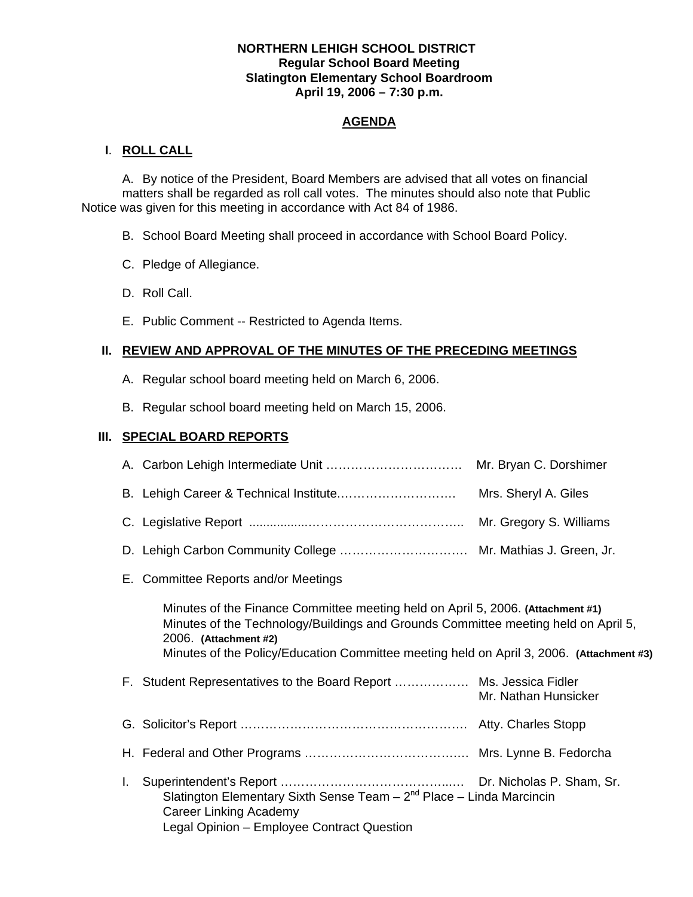### **NORTHERN LEHIGH SCHOOL DISTRICT Regular School Board Meeting Slatington Elementary School Boardroom April 19, 2006 – 7:30 p.m.**

# **AGENDA**

## **I**. **ROLL CALL**

 A. By notice of the President, Board Members are advised that all votes on financial matters shall be regarded as roll call votes. The minutes should also note that Public Notice was given for this meeting in accordance with Act 84 of 1986.

- B. School Board Meeting shall proceed in accordance with School Board Policy.
- C. Pledge of Allegiance.
- D. Roll Call.
- E. Public Comment -- Restricted to Agenda Items.

# **II. REVIEW AND APPROVAL OF THE MINUTES OF THE PRECEDING MEETINGS**

- A. Regular school board meeting held on March 6, 2006.
- B. Regular school board meeting held on March 15, 2006.

# **III. SPECIAL BOARD REPORTS**

|                                                                                                                                                                                                                                                                                            | Mr. Bryan C. Dorshimer  |
|--------------------------------------------------------------------------------------------------------------------------------------------------------------------------------------------------------------------------------------------------------------------------------------------|-------------------------|
|                                                                                                                                                                                                                                                                                            | Mrs. Sheryl A. Giles    |
|                                                                                                                                                                                                                                                                                            | Mr. Gregory S. Williams |
|                                                                                                                                                                                                                                                                                            |                         |
| E. Committee Reports and/or Meetings                                                                                                                                                                                                                                                       |                         |
| Minutes of the Finance Committee meeting held on April 5, 2006. (Attachment #1)<br>Minutes of the Technology/Buildings and Grounds Committee meeting held on April 5,<br>2006. (Attachment #2)<br>Minutes of the Policy/Education Committee meeting held on April 3, 2006. (Attachment #3) |                         |
| F. Student Representatives to the Board Report  Ms. Jessica Fidler                                                                                                                                                                                                                         | Mr. Nathan Hunsicker    |
|                                                                                                                                                                                                                                                                                            |                         |
|                                                                                                                                                                                                                                                                                            |                         |
|                                                                                                                                                                                                                                                                                            |                         |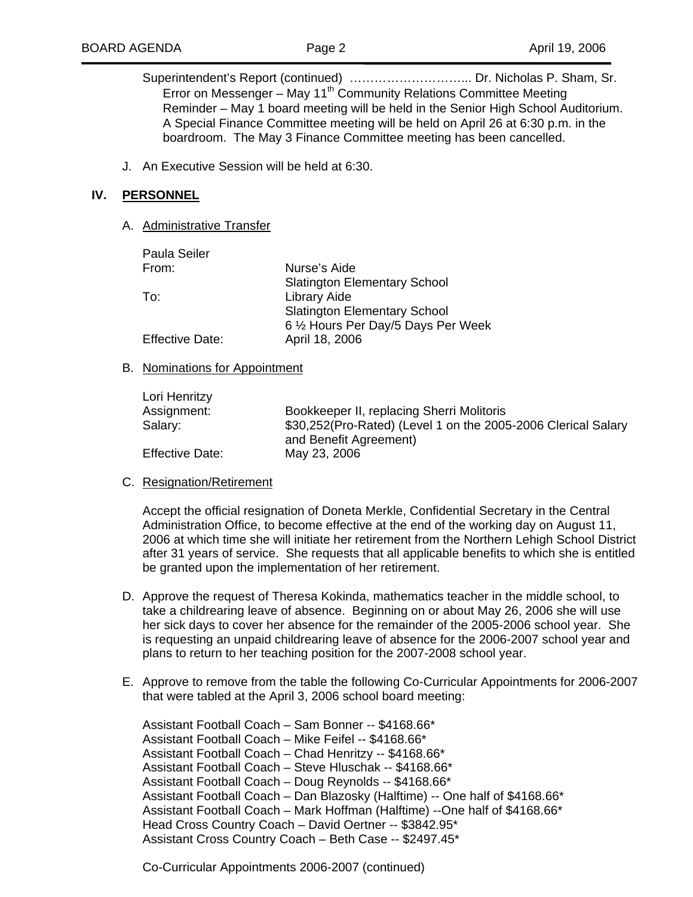Superintendent's Report (continued) ………………………... Dr. Nicholas P. Sham, Sr. Error on Messenger – May 11<sup>th</sup> Community Relations Committee Meeting Reminder – May 1 board meeting will be held in the Senior High School Auditorium. A Special Finance Committee meeting will be held on April 26 at 6:30 p.m. in the boardroom. The May 3 Finance Committee meeting has been cancelled.

J. An Executive Session will be held at 6:30.

#### **IV. PERSONNEL**

#### A. Administrative Transfer

| <b>Paula Seiler</b>    |                                     |
|------------------------|-------------------------------------|
| From:                  | Nurse's Aide                        |
|                        | <b>Slatington Elementary School</b> |
| To:                    | Library Aide                        |
|                        | <b>Slatington Elementary School</b> |
|                        | 6 1/2 Hours Per Day/5 Days Per Week |
| <b>Effective Date:</b> | April 18, 2006                      |

#### B. Nominations for Appointment

| Lori Henritzy          |                                                               |
|------------------------|---------------------------------------------------------------|
| Assignment:            | Bookkeeper II, replacing Sherri Molitoris                     |
| Salary:                | \$30,252(Pro-Rated) (Level 1 on the 2005-2006 Clerical Salary |
|                        | and Benefit Agreement)                                        |
| <b>Effective Date:</b> | May 23, 2006                                                  |

#### C. Resignation/Retirement

Accept the official resignation of Doneta Merkle, Confidential Secretary in the Central Administration Office, to become effective at the end of the working day on August 11, 2006 at which time she will initiate her retirement from the Northern Lehigh School District after 31 years of service. She requests that all applicable benefits to which she is entitled be granted upon the implementation of her retirement.

- D. Approve the request of Theresa Kokinda, mathematics teacher in the middle school, to take a childrearing leave of absence. Beginning on or about May 26, 2006 she will use her sick days to cover her absence for the remainder of the 2005-2006 school year. She is requesting an unpaid childrearing leave of absence for the 2006-2007 school year and plans to return to her teaching position for the 2007-2008 school year.
- E. Approve to remove from the table the following Co-Curricular Appointments for 2006-2007 that were tabled at the April 3, 2006 school board meeting:

Assistant Football Coach – Sam Bonner -- \$4168.66\* Assistant Football Coach – Mike Feifel -- \$4168.66\* Assistant Football Coach – Chad Henritzy -- \$4168.66\* Assistant Football Coach – Steve Hluschak -- \$4168.66\* Assistant Football Coach – Doug Reynolds -- \$4168.66\* Assistant Football Coach – Dan Blazosky (Halftime) -- One half of \$4168.66\* Assistant Football Coach – Mark Hoffman (Halftime) --One half of \$4168.66\* Head Cross Country Coach – David Oertner -- \$3842.95\* Assistant Cross Country Coach – Beth Case -- \$2497.45\*

Co-Curricular Appointments 2006-2007 (continued)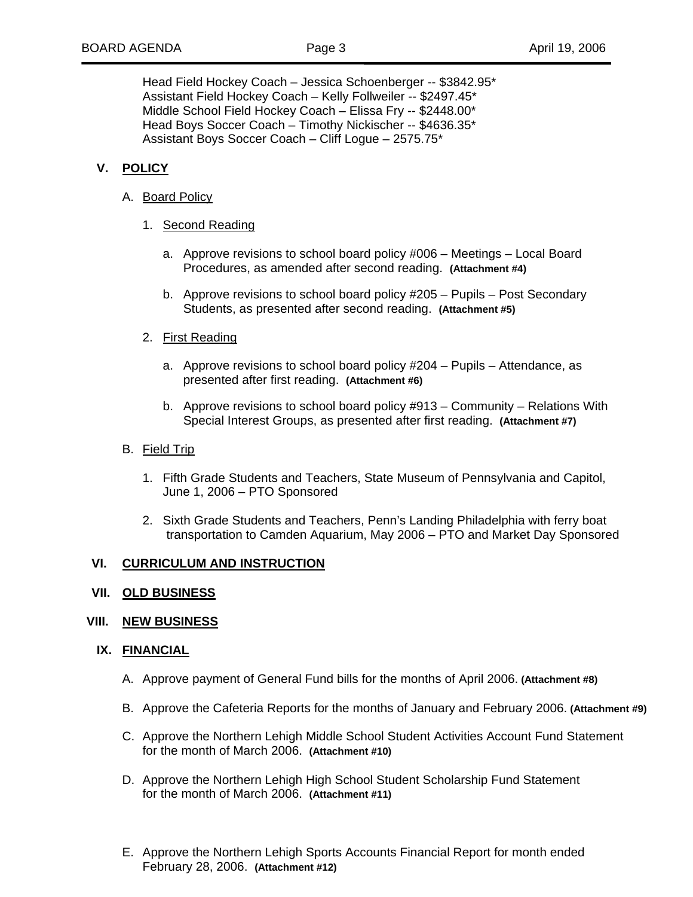Head Field Hockey Coach – Jessica Schoenberger -- \$3842.95\* Assistant Field Hockey Coach – Kelly Follweiler -- \$2497.45\* Middle School Field Hockey Coach – Elissa Fry -- \$2448.00\* Head Boys Soccer Coach – Timothy Nickischer -- \$4636.35\* Assistant Boys Soccer Coach – Cliff Logue – 2575.75\*

## **V. POLICY**

- A. Board Policy
	- 1. Second Reading
		- a. Approve revisions to school board policy #006 Meetings Local Board Procedures, as amended after second reading. **(Attachment #4)**
		- b. Approve revisions to school board policy #205 Pupils Post Secondary Students, as presented after second reading. **(Attachment #5)**

### 2. First Reading

- a. Approve revisions to school board policy #204 Pupils Attendance, as presented after first reading. **(Attachment #6)**
- b. Approve revisions to school board policy #913 Community Relations With Special Interest Groups, as presented after first reading. **(Attachment #7)**
- B. Field Trip
	- 1. Fifth Grade Students and Teachers, State Museum of Pennsylvania and Capitol, June 1, 2006 – PTO Sponsored
	- 2. Sixth Grade Students and Teachers, Penn's Landing Philadelphia with ferry boat transportation to Camden Aquarium, May 2006 – PTO and Market Day Sponsored

### **VI. CURRICULUM AND INSTRUCTION**

### **VII. OLD BUSINESS**

### **VIII. NEW BUSINESS**

### **IX. FINANCIAL**

- A. Approve payment of General Fund bills for the months of April 2006. **(Attachment #8)**
- B. Approve the Cafeteria Reports for the months of January and February 2006. **(Attachment #9)**
- C. Approve the Northern Lehigh Middle School Student Activities Account Fund Statement for the month of March 2006. **(Attachment #10)**
- D. Approve the Northern Lehigh High School Student Scholarship Fund Statement for the month of March 2006. **(Attachment #11)**
- E. Approve the Northern Lehigh Sports Accounts Financial Report for month ended February 28, 2006. **(Attachment #12)**